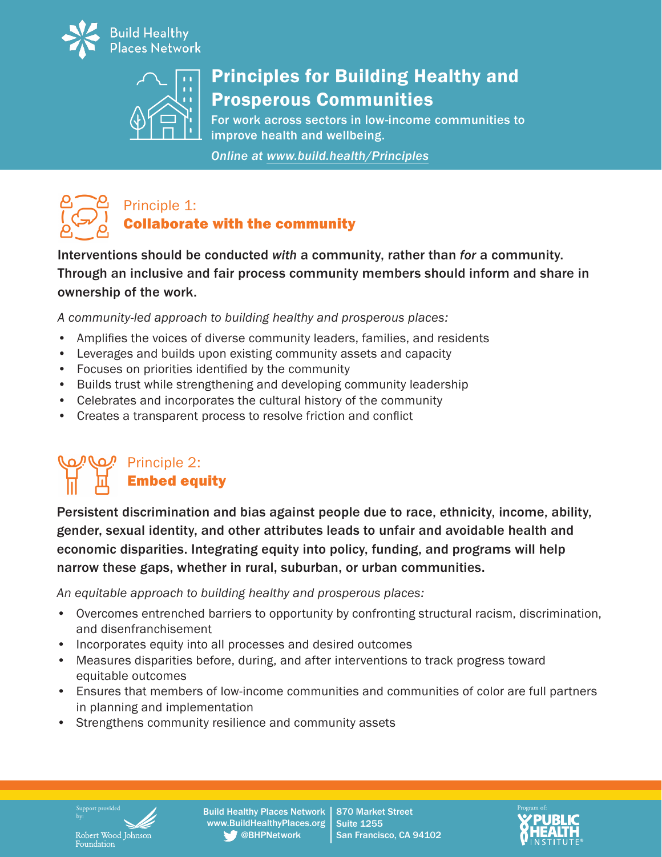



# Principles for Building Healthy and Prosperous Communities

For work across sectors in low-income communities to improve health and wellbeing.

*Online at www.build.health/Principles*



Interventions should be conducted *with* a community, rather than *for* a community. Through an inclusive and fair process community members should inform and share in ownership of the work.

*A community-led approach to building healthy and prosperous places:*

- Amplifies the voices of diverse community leaders, families, and residents
- Leverages and builds upon existing community assets and capacity
- Focuses on priorities identified by the community
- Builds trust while strengthening and developing community leadership
- Celebrates and incorporates the cultural history of the community
- Creates a transparent process to resolve friction and conflict

# Principle 2: Embed equity

Persistent discrimination and bias against people due to race, ethnicity, income, ability, gender, sexual identity, and other attributes leads to unfair and avoidable health and economic disparities. Integrating equity into policy, funding, and programs will help narrow these gaps, whether in rural, suburban, or urban communities.

*An equitable approach to building healthy and prosperous places:*

- Overcomes entrenched barriers to opportunity by confronting structural racism, discrimination, and disenfranchisement
- Incorporates equity into all processes and desired outcomes
- Measures disparities before, during, and after interventions to track progress toward equitable outcomes
- Ensures that members of low-income communities and communities of color are full partners in planning and implementation
- Strengthens community resilience and community assets

by:Robert Wood Johnson<br>Foundation

Support provided **Example 2 Build Healthy Places Network** | 870 Market Street **Program of Program of**: www.BuildHealthyPlaces.org @BHPNetwork \_

870 Market StreetSuite 1255San Francisco, CA 94102